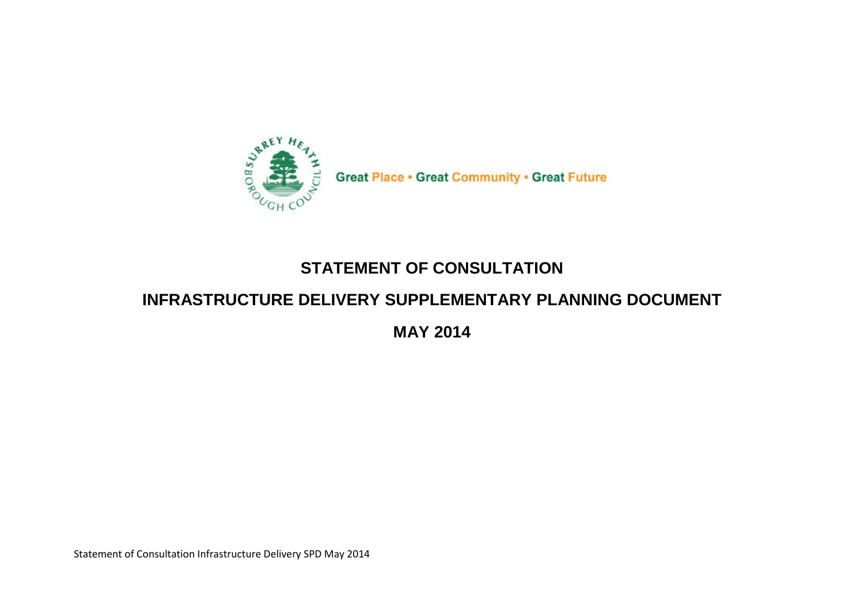

**Great Place • Great Community • Great Future** 

## **STATEMENT OF CONSULTATION**

## **INFRASTRUCTURE DELIVERY SUPPLEMENTARY PLANNING DOCUMENT**

**MAY 2014**

Statement of Consultation Infrastructure Delivery SPD May 2014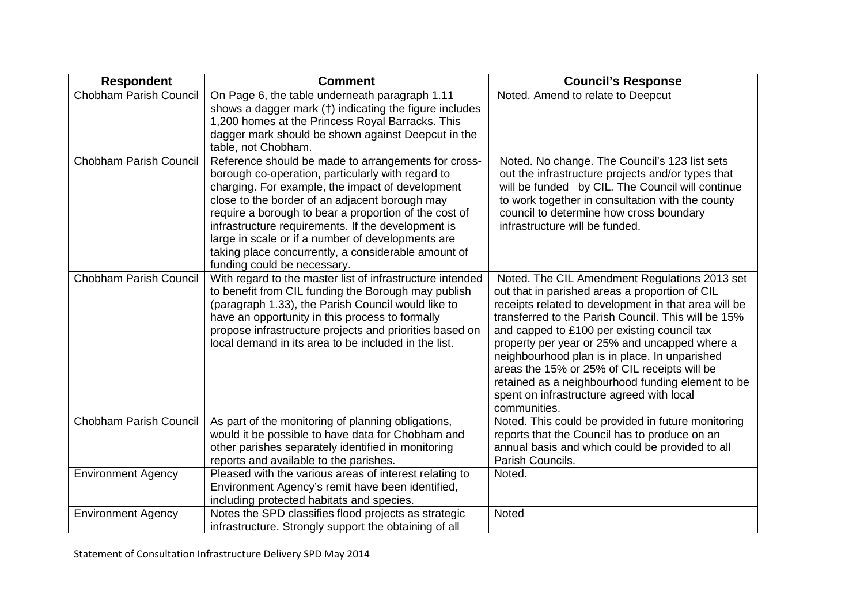| <b>Respondent</b>         | <b>Comment</b>                                                                                                                                                                                                                                                                                                                                                                                                                                                           | <b>Council's Response</b>                                                                                                                                                                                                                                                                                                                                                                                                                                                                                                         |
|---------------------------|--------------------------------------------------------------------------------------------------------------------------------------------------------------------------------------------------------------------------------------------------------------------------------------------------------------------------------------------------------------------------------------------------------------------------------------------------------------------------|-----------------------------------------------------------------------------------------------------------------------------------------------------------------------------------------------------------------------------------------------------------------------------------------------------------------------------------------------------------------------------------------------------------------------------------------------------------------------------------------------------------------------------------|
| Chobham Parish Council    | On Page 6, the table underneath paragraph 1.11<br>shows a dagger mark (†) indicating the figure includes<br>1,200 homes at the Princess Royal Barracks. This<br>dagger mark should be shown against Deepcut in the<br>table, not Chobham.                                                                                                                                                                                                                                | Noted. Amend to relate to Deepcut                                                                                                                                                                                                                                                                                                                                                                                                                                                                                                 |
| Chobham Parish Council    | Reference should be made to arrangements for cross-<br>borough co-operation, particularly with regard to<br>charging. For example, the impact of development<br>close to the border of an adjacent borough may<br>require a borough to bear a proportion of the cost of<br>infrastructure requirements. If the development is<br>large in scale or if a number of developments are<br>taking place concurrently, a considerable amount of<br>funding could be necessary. | Noted. No change. The Council's 123 list sets<br>out the infrastructure projects and/or types that<br>will be funded by CIL. The Council will continue<br>to work together in consultation with the county<br>council to determine how cross boundary<br>infrastructure will be funded.                                                                                                                                                                                                                                           |
| Chobham Parish Council    | With regard to the master list of infrastructure intended<br>to benefit from CIL funding the Borough may publish<br>(paragraph 1.33), the Parish Council would like to<br>have an opportunity in this process to formally<br>propose infrastructure projects and priorities based on<br>local demand in its area to be included in the list.                                                                                                                             | Noted. The CIL Amendment Regulations 2013 set<br>out that in parished areas a proportion of CIL<br>receipts related to development in that area will be<br>transferred to the Parish Council. This will be 15%<br>and capped to £100 per existing council tax<br>property per year or 25% and uncapped where a<br>neighbourhood plan is in place. In unparished<br>areas the 15% or 25% of CIL receipts will be<br>retained as a neighbourhood funding element to be<br>spent on infrastructure agreed with local<br>communities. |
| Chobham Parish Council    | As part of the monitoring of planning obligations,<br>would it be possible to have data for Chobham and<br>other parishes separately identified in monitoring<br>reports and available to the parishes.                                                                                                                                                                                                                                                                  | Noted. This could be provided in future monitoring<br>reports that the Council has to produce on an<br>annual basis and which could be provided to all<br>Parish Councils.                                                                                                                                                                                                                                                                                                                                                        |
| <b>Environment Agency</b> | Pleased with the various areas of interest relating to<br>Environment Agency's remit have been identified,<br>including protected habitats and species.                                                                                                                                                                                                                                                                                                                  | Noted.                                                                                                                                                                                                                                                                                                                                                                                                                                                                                                                            |
| <b>Environment Agency</b> | Notes the SPD classifies flood projects as strategic<br>infrastructure. Strongly support the obtaining of all                                                                                                                                                                                                                                                                                                                                                            | Noted                                                                                                                                                                                                                                                                                                                                                                                                                                                                                                                             |

Statement of Consultation Infrastructure Delivery SPD May 2014